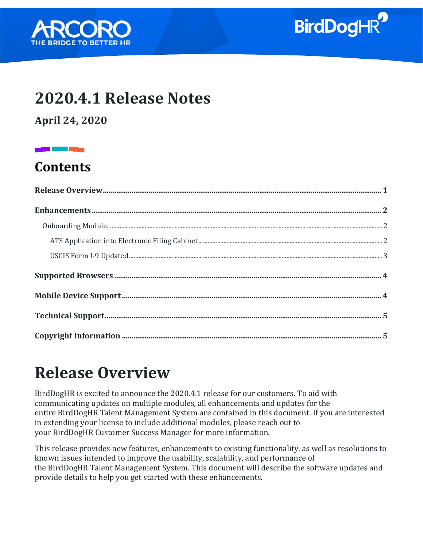



## **2020.4.1 Release Notes**

#### **April 24, 2020**

### **Contents**

# <span id="page-0-0"></span>**Release Overview**

BirdDogHR is excited to announce the 2020.4.1 release for our customers. To aid with communicating updates on multiple modules, all enhancements and updates for the entire BirdDogHR Talent Management System are contained in this document. If you are interested in extending your license to include additional modules, please reach out to your BirdDogHR Customer Success Manager for more information.

This release provides new features, enhancements to existing functionality, as well as resolutions to known issues intended to improve the usability, scalability, and performance of the BirdDogHR Talent Management System. This document will describe the software updates and provide details to help you get started with these enhancements.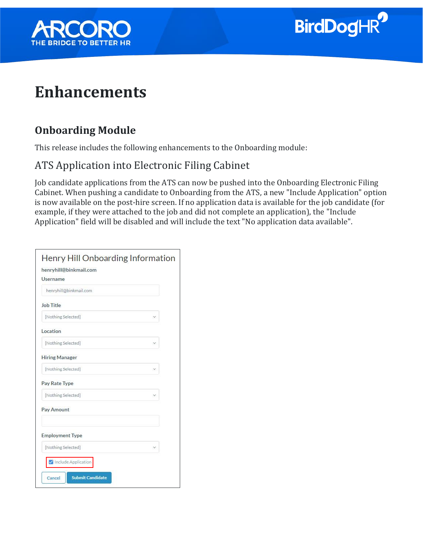



## <span id="page-1-0"></span>**Enhancements**

#### <span id="page-1-1"></span>**Onboarding Module**

This release includes the following enhancements to the Onboarding module:

#### <span id="page-1-2"></span>ATS Application into Electronic Filing Cabinet

Job candidate applications from the ATS can now be pushed into the Onboarding Electronic Filing Cabinet. When pushing a candidate to Onboarding from the ATS, a new "Include Application" option is now available on the post-hire screen. If no application data is available for the job candidate (for example, if they were attached to the job and did not complete an application), the "Include Application" field will be disabled and will include the text "No application data available".

| Username               |  |
|------------------------|--|
| henryhill@binkmail.com |  |
| Job Title              |  |
| [Nothing Selected]     |  |
| Location               |  |
| [Nothing Selected]     |  |
| <b>Hiring Manager</b>  |  |
| [Nothing Selected]     |  |
| Pay Rate Type          |  |
| [Nothing Selected]     |  |
| Pay Amount             |  |
| <b>Employment Type</b> |  |
| [Nothing Selected]     |  |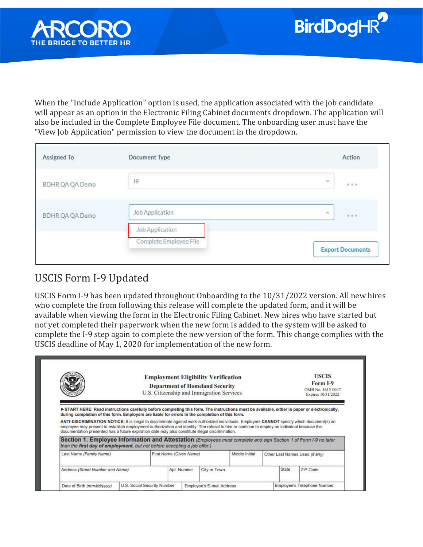



When the "Include Application" option is used, the application associated with the job candidate will appear as an option in the Electronic Filing Cabinet documents dropdown. The application will also be included in the Complete Employee File document. The onboarding user must have the "View Job Application" permission to view the document in the dropdown.

| Assigned To     | Document Type                             | Action                            |
|-----------------|-------------------------------------------|-----------------------------------|
| BDHR QA QA Demo | 19                                        | $\mathbb{V}$<br>$\alpha$ a.u      |
| BDHR QA QA Demo | Job Application                           | $\mathcal{N}_\mathrm{c}$<br>0.0.9 |
|                 | Job Application<br>Complete Employee File | <b>Export Documents</b>           |

#### <span id="page-2-0"></span>USCIS Form I-9 Updated

USCIS Form I-9 has been updated throughout Onboarding to the 10/31/2022 version. All new hires who complete the from following this release will complete the updated form, and it will be available when viewing the form in the Electronic Filing Cabinet. New hires who have started but not yet completed their paperwork when the new form is added to the system will be asked to complete the I-9 step again to complete the new version of the form. This change complies with the USCIS deadline of May 1, 2020 for implementation of the new form.

|                                                                                                                                                                                                                                                                                                                                                                                                                                                                                                                                                                                                                                                                                                                                                                         |                         | <b>Employment Eligibility Verification</b><br><b>Department of Homeland Security</b><br>U.S. Citizenship and Immigration Services |                |  | <b>USCIS</b><br>Form I-9<br>OMB No. 1615-0047<br>Expires 10/31/2022 |
|-------------------------------------------------------------------------------------------------------------------------------------------------------------------------------------------------------------------------------------------------------------------------------------------------------------------------------------------------------------------------------------------------------------------------------------------------------------------------------------------------------------------------------------------------------------------------------------------------------------------------------------------------------------------------------------------------------------------------------------------------------------------------|-------------------------|-----------------------------------------------------------------------------------------------------------------------------------|----------------|--|---------------------------------------------------------------------|
|                                                                                                                                                                                                                                                                                                                                                                                                                                                                                                                                                                                                                                                                                                                                                                         |                         |                                                                                                                                   |                |  |                                                                     |
| >START HERE: Read instructions carefully before completing this form. The instructions must be available, either in paper or electronically,<br>during completion of this form. Employers are liable for errors in the completion of this form.<br>ANTI-DISCRIMINATION NOTICE: It is illegal to discriminate against work-authorized individuals. Employers CANNOT specify which document(s) an<br>employee may present to establish employment authorization and identity. The refusal to hire or continue to employ an individual because the<br>documentation presented has a future expiration date may also constitute illegal discrimination.<br>Section 1. Employee Information and Attestation (Employees must complete and sign Section 1 of Form I-9 no later |                         |                                                                                                                                   |                |  |                                                                     |
| than the first day of employment, but not before accepting a job offer.)                                                                                                                                                                                                                                                                                                                                                                                                                                                                                                                                                                                                                                                                                                |                         |                                                                                                                                   |                |  |                                                                     |
| Last Name (Family Name)                                                                                                                                                                                                                                                                                                                                                                                                                                                                                                                                                                                                                                                                                                                                                 | First Name (Given Name) |                                                                                                                                   | Middle Initial |  | Other Last Names Used (if any)                                      |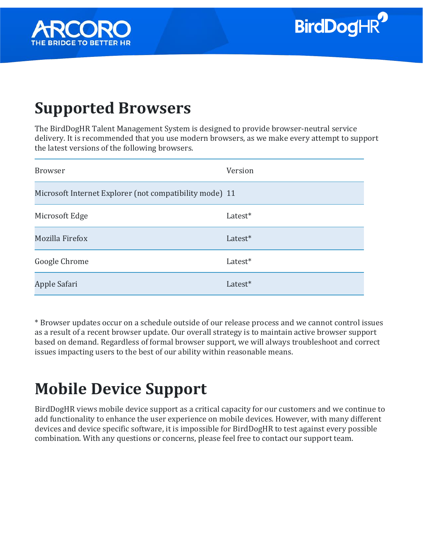



## <span id="page-3-0"></span>**Supported Browsers**

The BirdDogHR Talent Management System is designed to provide browser-neutral service delivery. It is recommended that you use modern browsers, as we make every attempt to support the latest versions of the following browsers.

| <b>Browser</b>                                          | Version |
|---------------------------------------------------------|---------|
| Microsoft Internet Explorer (not compatibility mode) 11 |         |
| Microsoft Edge                                          | Latest* |
| Mozilla Firefox                                         | Latest* |
| Google Chrome                                           | Latest* |
| Apple Safari                                            | Latest* |

\* Browser updates occur on a schedule outside of our release process and we cannot control issues as a result of a recent browser update. Our overall strategy is to maintain active browser support based on demand. Regardless of formal browser support, we will always troubleshoot and correct issues impacting users to the best of our ability within reasonable means.

## <span id="page-3-1"></span>**Mobile Device Support**

BirdDogHR views mobile device support as a critical capacity for our customers and we continue to add functionality to enhance the user experience on mobile devices. However, with many different devices and device specific software, it is impossible for BirdDogHR to test against every possible combination. With any questions or concerns, please feel free to contact our support team.